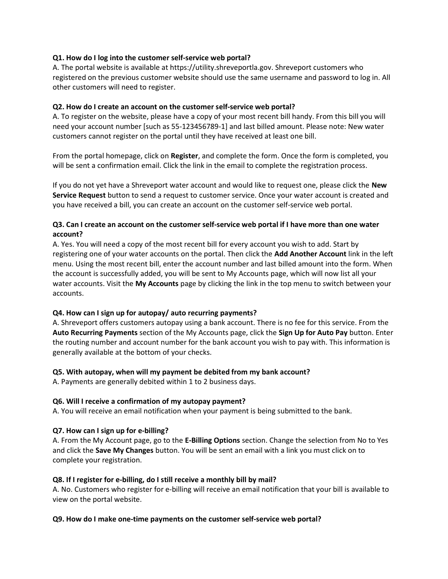### Q1. How do I log into the customer self-service web portal?

A. The portal website is available at https://utility.shreveportla.gov. Shreveport customers who registered on the previous customer website should use the same username and password to log in. All other customers will need to register.

## Q2. How do I create an account on the customer self-service web portal?

A. To register on the website, please have a copy of your most recent bill handy. From this bill you will need your account number [such as 55-123456789-1] and last billed amount. Please note: New water customers cannot register on the portal until they have received at least one bill.

From the portal homepage, click on Register, and complete the form. Once the form is completed, you will be sent a confirmation email. Click the link in the email to complete the registration process.

If you do not yet have a Shreveport water account and would like to request one, please click the New Service Request button to send a request to customer service. Once your water account is created and you have received a bill, you can create an account on the customer self-service web portal.

## Q3. Can I create an account on the customer self-service web portal if I have more than one water account?

A. Yes. You will need a copy of the most recent bill for every account you wish to add. Start by registering one of your water accounts on the portal. Then click the **Add Another Account** link in the left menu. Using the most recent bill, enter the account number and last billed amount into the form. When the account is successfully added, you will be sent to My Accounts page, which will now list all your water accounts. Visit the My Accounts page by clicking the link in the top menu to switch between your accounts.

# Q4. How can I sign up for autopay/ auto recurring payments?

A. Shreveport offers customers autopay using a bank account. There is no fee for this service. From the Auto Recurring Payments section of the My Accounts page, click the Sign Up for Auto Pay button. Enter the routing number and account number for the bank account you wish to pay with. This information is generally available at the bottom of your checks.

# Q5. With autopay, when will my payment be debited from my bank account?

A. Payments are generally debited within 1 to 2 business days.

### Q6. Will I receive a confirmation of my autopay payment?

A. You will receive an email notification when your payment is being submitted to the bank.

# Q7. How can I sign up for e-billing?

A. From the My Account page, go to the **E-Billing Options** section. Change the selection from No to Yes and click the Save My Changes button. You will be sent an email with a link you must click on to complete your registration.

### Q8. If I register for e-billing, do I still receive a monthly bill by mail?

A. No. Customers who register for e-billing will receive an email notification that your bill is available to view on the portal website.

### Q9. How do I make one-time payments on the customer self-service web portal?